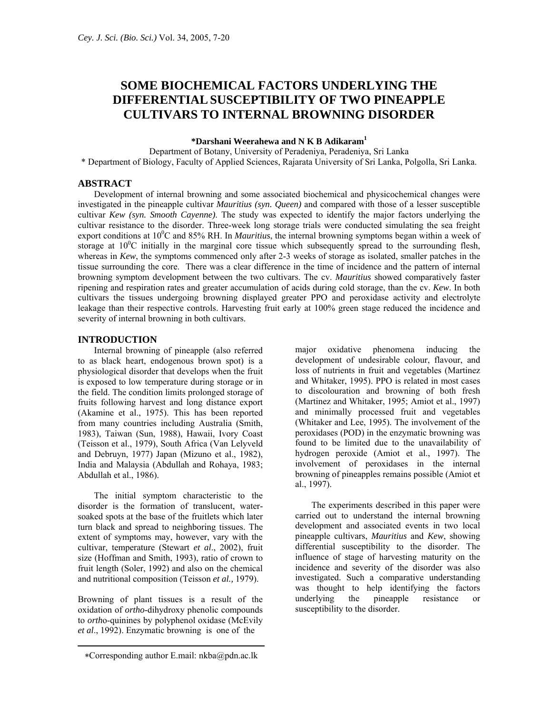# **SOME BIOCHEMICAL FACTORS UNDERLYING THE DIFFERENTIAL SUSCEPTIBILITY OF TWO PINEAPPLE CULTIVARS TO INTERNAL BROWNING DISORDER**

#### **\*Darshani Weerahewa and N K B Adikaram1**

Department of Botany, University of Peradeniya, Peradeniya, Sri Lanka \* Department of Biology, Faculty of Applied Sciences, Rajarata University of Sri Lanka, Polgolla, Sri Lanka.

# **ABSTRACT**

Development of internal browning and some associated biochemical and physicochemical changes were investigated in the pineapple cultivar *Mauritius (syn. Queen)* and compared with those of a lesser susceptible cultivar *Kew (syn. Smooth Cayenne)*. The study was expected to identify the major factors underlying the cultivar resistance to the disorder. Three-week long storage trials were conducted simulating the sea freight export conditions at 10<sup>0</sup>C and 85% RH. In *Mauritius*, the internal browning symptoms began within a week of storage at  $10^{\circ}$ C initially in the marginal core tissue which subsequently spread to the surrounding flesh, whereas in *Kew*, the symptoms commenced only after 2-3 weeks of storage as isolated, smaller patches in the tissue surrounding the core. There was a clear difference in the time of incidence and the pattern of internal browning symptom development between the two cultivars. The cv. *Mauritius* showed comparatively faster ripening and respiration rates and greater accumulation of acids during cold storage, than the cv. *Kew*. In both cultivars the tissues undergoing browning displayed greater PPO and peroxidase activity and electrolyte leakage than their respective controls. Harvesting fruit early at 100% green stage reduced the incidence and severity of internal browning in both cultivars.

# **INTRODUCTION**

Internal browning of pineapple (also referred to as black heart, endogenous brown spot) is a physiological disorder that develops when the fruit is exposed to low temperature during storage or in the field. The condition limits prolonged storage of fruits following harvest and long distance export (Akamine et al., 1975). This has been reported from many countries including Australia (Smith, 1983), Taiwan (Sun, 1988), Hawaii, Ivory Coast (Teisson et al., 1979), South Africa (Van Lelyveld and Debruyn, 1977) Japan (Mizuno et al., 1982), India and Malaysia (Abdullah and Rohaya, 1983; Abdullah et al., 1986).

The initial symptom characteristic to the disorder is the formation of translucent, watersoaked spots at the base of the fruitlets which later turn black and spread to neighboring tissues. The extent of symptoms may, however, vary with the cultivar, temperature (Stewart *et al*., 2002), fruit size (Hoffman and Smith, 1993), ratio of crown to fruit length (Soler, 1992) and also on the chemical and nutritional composition (Teisson *et al.,* 1979).

Browning of plant tissues is a result of the oxidation of *ortho*-dihydroxy phenolic compounds to *orth*o-quinines by polyphenol oxidase (McEvily *et al*., 1992). Enzymatic browning is one of the

major oxidative phenomena inducing the development of undesirable colour, flavour, and loss of nutrients in fruit and vegetables (Martinez and Whitaker, 1995). PPO is related in most cases to discolouration and browning of both fresh (Martinez and Whitaker, 1995; Amiot et al., 1997) and minimally processed fruit and vegetables (Whitaker and Lee, 1995). The involvement of the peroxidases (POD) in the enzymatic browning was found to be limited due to the unavailability of hydrogen peroxide (Amiot et al., 1997). The involvement of peroxidases in the internal browning of pineapples remains possible (Amiot et al., 1997).

The experiments described in this paper were carried out to understand the internal browning development and associated events in two local pineapple cultivars, *Mauritius* and *Kew*, showing differential susceptibility to the disorder. The influence of stage of harvesting maturity on the incidence and severity of the disorder was also investigated. Such a comparative understanding was thought to help identifying the factors underlying the pineapple resistance or susceptibility to the disorder.

<sup>∗</sup>Corresponding author E.mail: nkba@pdn.ac.lk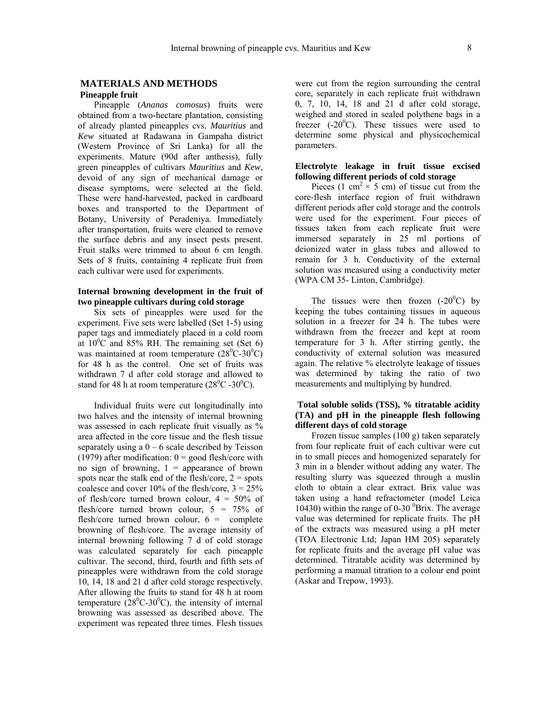# **MATERIALS AND METHODS Pineapple fruit**

Pineapple (*Ananas comosus*) fruits were obtained from a two-hectare plantation, consisting of already planted pineapples cvs. *Mauritius* and *Kew* situated at Radawana in Gampaha district (Western Province of Sri Lanka) for all the experiments. Mature (90d after anthesis), fully green pineapples of cultivars *Mauritius* and *Kew*, devoid of any sign of mechanical damage or disease symptoms, were selected at the field. These were hand-harvested, packed in cardboard boxes and transported to the Department of Botany, University of Peradeniya. Immediately after transportation, fruits were cleaned to remove the surface debris and any insect pests present. Fruit stalks were trimmed to about 6 cm length. Sets of 8 fruits, containing 4 replicate fruit from each cultivar were used for experiments.

# **Internal browning development in the fruit of two pineapple cultivars during cold storage**

Six sets of pineapples were used for the experiment. Five sets were labelled (Set 1-5) using paper tags and immediately placed in a cold room at  $10^{\circ}$ C and 85% RH. The remaining set (Set 6) was maintained at room temperature  $(28^0C-30^0C)$ for 48 h as the control. One set of fruits was withdrawn 7 d after cold storage and allowed to stand for 48 h at room temperature  $(28^{\circ}C - 30^{\circ}C)$ .

Individual fruits were cut longitudinally into two halves and the intensity of internal browning was assessed in each replicate fruit visually as % area affected in the core tissue and the flesh tissue separately using a  $0 - 6$  scale described by Teisson (1979) after modification:  $0 = \text{good}$  flesh/core with no sign of browning,  $1 =$  appearance of brown spots near the stalk end of the flesh/core,  $2 =$  spots coalesce and cover  $10\%$  of the flesh/core,  $3 = 25\%$ of flesh/core turned brown colour,  $4 = 50\%$  of flesh/core turned brown colour,  $5 = 75\%$  of flesh/core turned brown colour,  $6 =$  complete browning of flesh/core. The average intensity of internal browning following 7 d of cold storage was calculated separately for each pineapple cultivar. The second, third, fourth and fifth sets of pineapples were withdrawn from the cold storage 10, 14, 18 and 21 d after cold storage respectively. After allowing the fruits to stand for 48 h at room temperature  $(28^0C-30^0C)$ , the intensity of internal browning was assessed as described above. The experiment was repeated three times. Flesh tissues

were cut from the region surrounding the central core, separately in each replicate fruit withdrawn 0, 7, 10, 14, 18 and 21 d after cold storage, weighed and stored in sealed polythene bags in a freezer  $(-20^{\circ}C)$ . These tissues were used to determine some physical and physicochemical parameters.

# **Electrolyte leakage in fruit tissue excised following different periods of cold storage**

Pieces (1 cm<sup>2</sup>  $\times$  5 cm) of tissue cut from the core-flesh interface region of fruit withdrawn different periods after cold storage and the controls were used for the experiment. Four pieces of tissues taken from each replicate fruit were immersed separately in 25 ml portions of deionized water in glass tubes and allowed to remain for 3 h. Conductivity of the external solution was measured using a conductivity meter (WPA CM 35- Linton, Cambridge).

The tissues were then frozen  $(-20^{\circ}C)$  by keeping the tubes containing tissues in aqueous solution in a freezer for 24 h. The tubes were withdrawn from the freezer and kept at room temperature for 3 h. After stirring gently, the conductivity of external solution was measured again. The relative % electrolyte leakage of tissues was determined by taking the ratio of two measurements and multiplying by hundred.

#### **Total soluble solids (TSS), % titratable acidity (TA) and pH in the pineapple flesh following different days of cold storage**

Frozen tissue samples (100 g) taken separately from four replicate fruit of each cultivar were cut in to small pieces and homogenized separately for 3 min in a blender without adding any water. The resulting slurry was squeezed through a muslin cloth to obtain a clear extract. Brix value was taken using a hand refractometer (model Leica 10430) within the range of 0-30  $\mathrm{Brix}$ . The average value was determined for replicate fruits. The pH of the extracts was measured using a pH meter (TOA Electronic Ltd; Japan HM 205) separately for replicate fruits and the average pH value was determined. Titratable acidity was determined by performing a manual titration to a colour end point (Askar and Trepow, 1993).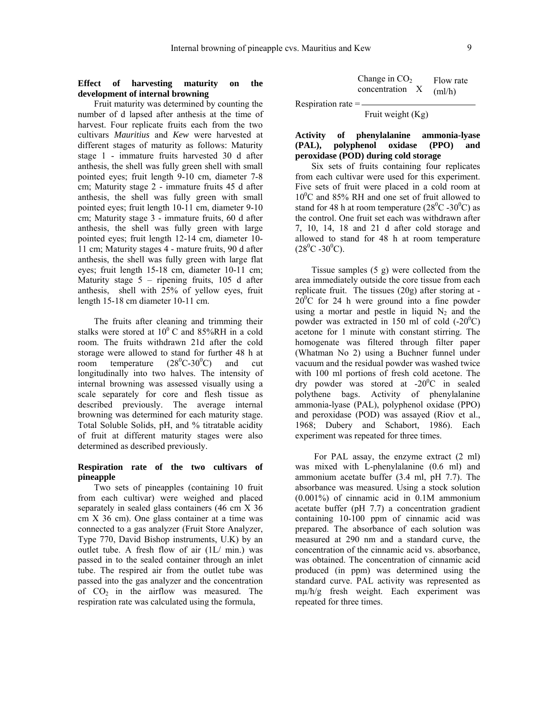#### **Effect of harvesting maturity on the development of internal browning**

Fruit maturity was determined by counting the number of d lapsed after anthesis at the time of harvest. Four replicate fruits each from the two cultivars *Mauritius* and *Kew* were harvested at different stages of maturity as follows: Maturity stage 1 - immature fruits harvested 30 d after anthesis, the shell was fully green shell with small pointed eyes; fruit length 9-10 cm, diameter 7-8 cm; Maturity stage 2 - immature fruits 45 d after anthesis, the shell was fully green with small pointed eyes; fruit length 10-11 cm, diameter 9-10 cm; Maturity stage 3 - immature fruits, 60 d after anthesis, the shell was fully green with large pointed eyes; fruit length 12-14 cm, diameter 10- 11 cm; Maturity stages 4 - mature fruits, 90 d after anthesis, the shell was fully green with large flat eyes; fruit length 15-18 cm, diameter 10-11 cm; Maturity stage 5 – ripening fruits, 105 d after anthesis, shell with 25% of yellow eyes, fruit length 15-18 cm diameter 10-11 cm.

The fruits after cleaning and trimming their stalks were stored at  $10^{0}$  C and 85%RH in a cold room. The fruits withdrawn 21d after the cold storage were allowed to stand for further 48 h at room temperature  $(28^0C - 30^0C)$ and cut longitudinally into two halves. The intensity of internal browning was assessed visually using a scale separately for core and flesh tissue as described previously. The average internal browning was determined for each maturity stage. Total Soluble Solids, pH, and % titratable acidity of fruit at different maturity stages were also determined as described previously.

# **Respiration rate of the two cultivars of pineapple**

Two sets of pineapples (containing 10 fruit from each cultivar) were weighed and placed separately in sealed glass containers (46 cm X 36 cm X 36 cm). One glass container at a time was connected to a gas analyzer (Fruit Store Analyzer, Type 770, David Bishop instruments, U.K) by an outlet tube. A fresh flow of air (1L/ min.) was passed in to the sealed container through an inlet tube. The respired air from the outlet tube was passed into the gas analyzer and the concentration of  $CO<sub>2</sub>$  in the airflow was measured. The respiration rate was calculated using the formula,

| Change in $CO2$ | Flow rate |
|-----------------|-----------|
| concentration   | (ml/h)    |

Respiration rate  $=$   $-$ 

Fruit weight (Kg)

#### **Activity of phenylalanine ammonia-lyase (PAL), polyphenol oxidase (PPO) and peroxidase (POD) during cold storage**

Six sets of fruits containing four replicates from each cultivar were used for this experiment. Five sets of fruit were placed in a cold room at 10<sup>0</sup>C and 85% RH and one set of fruit allowed to stand for 48 h at room temperature  $(28^{\circ}$ C -30 $^{\circ}$ C) as the control. One fruit set each was withdrawn after 7, 10, 14, 18 and 21 d after cold storage and allowed to stand for 48 h at room temperature  $(28^0C - 30^0C)$ .

Tissue samples (5 g) were collected from the area immediately outside the core tissue from each replicate fruit. The tissues (20g) after storing at -  $20^{\circ}$ C for 24 h were ground into a fine powder using a mortar and pestle in liquid  $N_2$  and the powder was extracted in 150 ml of cold  $(-20^0C)$ acetone for 1 minute with constant stirring. The homogenate was filtered through filter paper (Whatman No 2) using a Buchner funnel under vacuum and the residual powder was washed twice with 100 ml portions of fresh cold acetone. The dry powder was stored at  $-20^{\circ}$ C in sealed polythene bags. Activity of phenylalanine ammonia-lyase (PAL), polyphenol oxidase (PPO) and peroxidase (POD) was assayed (Riov et al., 1968; Dubery and Schabort, 1986). Each experiment was repeated for three times.

For PAL assay, the enzyme extract (2 ml) was mixed with L-phenylalanine (0.6 ml) and ammonium acetate buffer (3.4 ml, pH 7.7). The absorbance was measured. Using a stock solution (0.001%) of cinnamic acid in 0.1M ammonium acetate buffer (pH 7.7) a concentration gradient containing 10-100 ppm of cinnamic acid was prepared. The absorbance of each solution was measured at 290 nm and a standard curve, the concentration of the cinnamic acid vs. absorbance, was obtained. The concentration of cinnamic acid produced (in ppm) was determined using the standard curve. PAL activity was represented as mµ/h/g fresh weight. Each experiment was repeated for three times.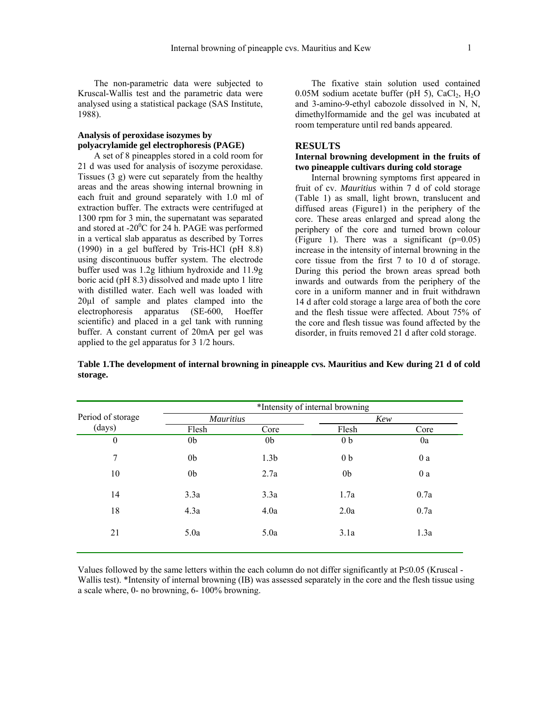The non-parametric data were subjected to Kruscal-Wallis test and the parametric data were analysed using a statistical package (SAS Institute, 1988).

# **Analysis of peroxidase isozymes by polyacrylamide gel electrophoresis (PAGE)**

A set of 8 pineapples stored in a cold room for 21 d was used for analysis of isozyme peroxidase. Tissues (3 g) were cut separately from the healthy areas and the areas showing internal browning in each fruit and ground separately with 1.0 ml of extraction buffer. The extracts were centrifuged at 1300 rpm for 3 min, the supernatant was separated and stored at -20 $^{\circ}$ C for 24 h. PAGE was performed in a vertical slab apparatus as described by Torres (1990) in a gel buffered by Tris-HCl (pH 8.8) using discontinuous buffer system. The electrode buffer used was 1.2g lithium hydroxide and 11.9g boric acid (pH 8.3) dissolved and made upto 1 litre with distilled water. Each well was loaded with 20µl of sample and plates clamped into the electrophoresis apparatus (SE-600, Hoeffer scientific) and placed in a gel tank with running buffer. A constant current of 20mA per gel was applied to the gel apparatus for 3 1/2 hours.

The fixative stain solution used contained 0.05M sodium acetate buffer (pH 5),  $CaCl<sub>2</sub>$ , H<sub>2</sub>O and 3-amino-9-ethyl cabozole dissolved in N, N, dimethylformamide and the gel was incubated at room temperature until red bands appeared.

#### **RESULTS**

#### **Internal browning development in the fruits of two pineapple cultivars during cold storage**

Internal browning symptoms first appeared in fruit of cv. *Mauritius* within 7 d of cold storage (Table 1) as small, light brown, translucent and diffused areas (Figure1) in the periphery of the core. These areas enlarged and spread along the periphery of the core and turned brown colour (Figure 1). There was a significant  $(p=0.05)$ increase in the intensity of internal browning in the core tissue from the first 7 to 10 d of storage. During this period the brown areas spread both inwards and outwards from the periphery of the core in a uniform manner and in fruit withdrawn 14 d after cold storage a large area of both the core and the flesh tissue were affected. About 75% of the core and flesh tissue was found affected by the disorder, in fruits removed 21 d after cold storage.

**Table 1.The development of internal browning in pineapple cvs. Mauritius and Kew during 21 d of cold storage.** 

|                   |                  |                  | *Intensity of internal browning |      |
|-------------------|------------------|------------------|---------------------------------|------|
| Period of storage | <b>Mauritius</b> |                  | Kew                             |      |
| (days)            | Flesh            | Core             | Flesh                           | Core |
| $\theta$          | 0 <sub>b</sub>   | 0 <sub>b</sub>   | 0 <sub>b</sub>                  | 0a   |
| 7                 | 0 <sub>b</sub>   | 1.3 <sub>b</sub> | 0 <sub>b</sub>                  | 0a   |
| 10                | 0 <sub>b</sub>   | 2.7a             | 0 <sub>b</sub>                  | 0a   |
| 14                | 3.3a             | 3.3a             | 1.7a                            | 0.7a |
| 18                | 4.3a             | 4.0a             | 2.0a                            | 0.7a |
| 21                | 5.0a             | 5.0a             | 3.1a                            | 1.3a |

Values followed by the same letters within the each column do not differ significantly at P≤0.05 (Kruscal - Wallis test). \*Intensity of internal browning (IB) was assessed separately in the core and the flesh tissue using a scale where, 0- no browning, 6- 100% browning.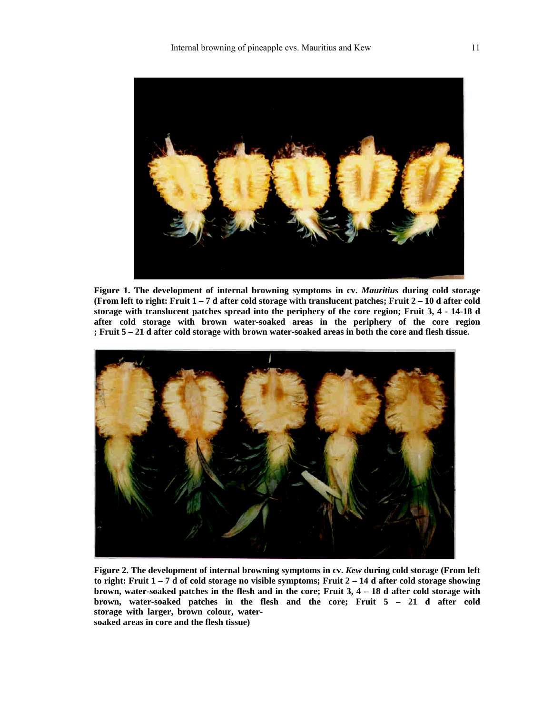

**Figure 1. The development of internal browning symptoms in cv.** *Mauritius* **during cold storage (From left to right: Fruit 1 – 7 d after cold storage with translucent patches; Fruit 2 – 10 d after cold storage with translucent patches spread into the periphery of the core region; Fruit 3, 4 - 14-18 d after cold storage with brown water-soaked areas in the periphery of the core region ; Fruit 5 – 21 d after cold storage with brown water-soaked areas in both the core and flesh tissue.** 



**Figure 2. The development of internal browning symptoms in cv.** *Kew* **during cold storage (From left to right: Fruit 1 – 7 d of cold storage no visible symptoms; Fruit 2 – 14 d after cold storage showing brown, water-soaked patches in the flesh and in the core; Fruit 3, 4 – 18 d after cold storage with brown, water-soaked patches in the flesh and the core; Fruit 5 – 21 d after cold storage with larger, brown colour, watersoaked areas in core and the flesh tissue)**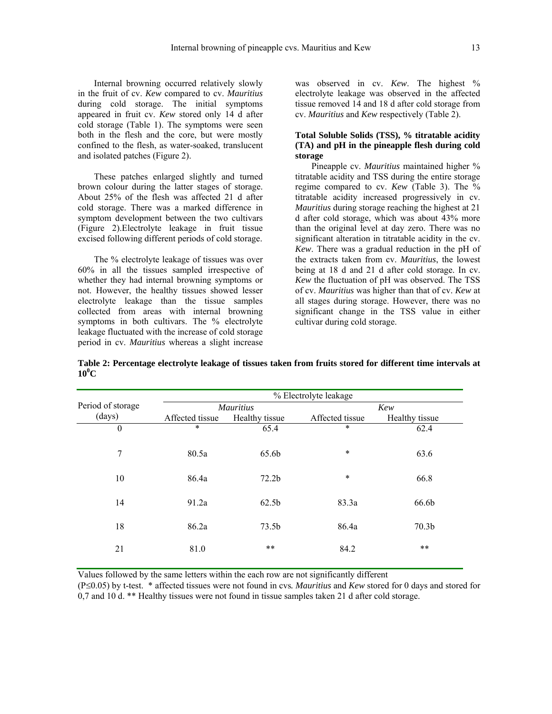Internal browning occurred relatively slowly in the fruit of cv. *Kew* compared to cv. *Mauritius*  during cold storage. The initial symptoms appeared in fruit cv. *Kew* stored only 14 d after cold storage (Table 1). The symptoms were seen both in the flesh and the core, but were mostly confined to the flesh, as water-soaked, translucent and isolated patches (Figure 2).

These patches enlarged slightly and turned brown colour during the latter stages of storage. About 25% of the flesh was affected 21 d after cold storage. There was a marked difference in symptom development between the two cultivars (Figure 2).Electrolyte leakage in fruit tissue excised following different periods of cold storage.

The % electrolyte leakage of tissues was over 60% in all the tissues sampled irrespective of whether they had internal browning symptoms or not. However, the healthy tissues showed lesser electrolyte leakage than the tissue samples collected from areas with internal browning symptoms in both cultivars. The % electrolyte leakage fluctuated with the increase of cold storage period in cv. *Mauritius* whereas a slight increase was observed in cv. *Kew*. The highest % electrolyte leakage was observed in the affected tissue removed 14 and 18 d after cold storage from cv. *Mauritius* and *Kew* respectively (Table 2).

# **Total Soluble Solids (TSS), % titratable acidity (TA) and pH in the pineapple flesh during cold storage**

Pineapple cv. *Mauritius* maintained higher % titratable acidity and TSS during the entire storage regime compared to cv. *Kew* (Table 3). The % titratable acidity increased progressively in cv. *Mauritius* during storage reaching the highest at 21 d after cold storage, which was about 43% more than the original level at day zero. There was no significant alteration in titratable acidity in the cv. *Kew*. There was a gradual reduction in the pH of the extracts taken from cv. *Mauritius*, the lowest being at 18 d and 21 d after cold storage. In cv. *Kew* the fluctuation of pH was observed. The TSS of cv. *Mauritius* was higher than that of cv. *Kew* at all stages during storage. However, there was no significant change in the TSS value in either cultivar during cold storage.

|                   | % Electrolyte leakage |                   |                 |                   |  |
|-------------------|-----------------------|-------------------|-----------------|-------------------|--|
| Period of storage |                       | <b>Mauritius</b>  |                 | Kew               |  |
| (days)            | Affected tissue       | Healthy tissue    | Affected tissue | Healthy tissue    |  |
| $\boldsymbol{0}$  | $\ast$                | 65.4              | $\ast$          | 62.4              |  |
| 7                 | 80.5a                 | 65.6b             | $\ast$          | 63.6              |  |
| 10                | 86.4a                 | 72.2b             | $\ast$          | 66.8              |  |
| 14                | 91.2a                 | 62.5 <sub>b</sub> | 83.3a           | 66.6b             |  |
| 18                | 86.2a                 | 73.5b             | 86.4a           | 70.3 <sub>b</sub> |  |
| 21                | 81.0                  | $***$             | 84.2            | $***$             |  |

**Table 2: Percentage electrolyte leakage of tissues taken from fruits stored for different time intervals at**   $10^0$ C

Values followed by the same letters within the each row are not significantly different

(P≤0.05) by t-test. \* affected tissues were not found in cvs*. Mauritius* and *Kew* stored for 0 days and stored for 0,7 and 10 d. \*\* Healthy tissues were not found in tissue samples taken 21 d after cold storage.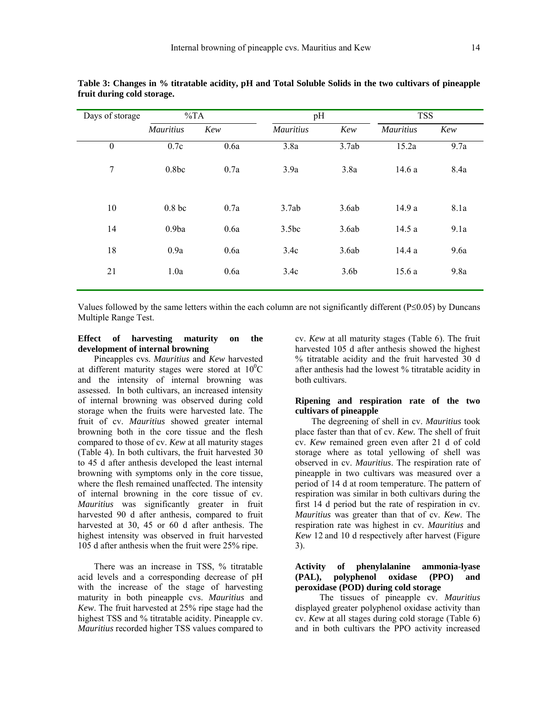| Days of storage  | $\%TA$            |      | pH               |                  | <b>TSS</b>       |      |
|------------------|-------------------|------|------------------|------------------|------------------|------|
|                  | <b>Mauritius</b>  | Kew  | <b>Mauritius</b> | Kew              | <b>Mauritius</b> | Kew  |
| $\boldsymbol{0}$ | 0.7c              | 0.6a | 3.8a             | 3.7ab            | 15.2a            | 9.7a |
| 7                | 0.8bc             | 0.7a | 3.9a             | 3.8a             | 14.6 a           | 8.4a |
| 10               | 0.8 <sub>bc</sub> | 0.7a | 3.7ab            | 3.6ab            | 14.9 a           | 8.1a |
| 14               | 0.9ba             | 0.6a | 3.5bc            | 3.6ab            | 14.5 a           | 9.1a |
| 18               | 0.9a              | 0.6a | 3.4c             | 3.6ab            | 14.4 a           | 9.6a |
| 21               | 1.0a              | 0.6a | 3.4c             | 3.6 <sub>b</sub> | 15.6a            | 9.8a |

**Table 3: Changes in % titratable acidity, pH and Total Soluble Solids in the two cultivars of pineapple fruit during cold storage.** 

Values followed by the same letters within the each column are not significantly different (P≤0.05) by Duncans Multiple Range Test.

# **Effect of harvesting maturity on the development of internal browning**

Pineapples cvs. *Mauritius* and *Kew* harvested at different maturity stages were stored at  $10^{0}$ C and the intensity of internal browning was assessed. In both cultivars, an increased intensity of internal browning was observed during cold storage when the fruits were harvested late. The fruit of cv. *Mauritius* showed greater internal browning both in the core tissue and the flesh compared to those of cv. *Kew* at all maturity stages (Table 4). In both cultivars, the fruit harvested 30 to 45 d after anthesis developed the least internal browning with symptoms only in the core tissue, where the flesh remained unaffected. The intensity of internal browning in the core tissue of cv. *Mauritius* was significantly greater in fruit harvested 90 d after anthesis, compared to fruit harvested at 30, 45 or 60 d after anthesis. The highest intensity was observed in fruit harvested 105 d after anthesis when the fruit were 25% ripe.

There was an increase in TSS, % titratable acid levels and a corresponding decrease of pH with the increase of the stage of harvesting maturity in both pineapple cvs. *Mauritius* and *Kew*. The fruit harvested at 25% ripe stage had the highest TSS and % titratable acidity. Pineapple cv. *Mauritius* recorded higher TSS values compared to

cv. *Kew* at all maturity stages (Table 6). The fruit harvested 105 d after anthesis showed the highest % titratable acidity and the fruit harvested 30 d after anthesis had the lowest % titratable acidity in both cultivars.

#### **Ripening and respiration rate of the two cultivars of pineapple**

The degreening of shell in cv. *Mauritius* took place faster than that of cv. *Kew.* The shell of fruit cv. *Kew* remained green even after 21 d of cold storage where as total yellowing of shell was observed in cv. *Mauritius*. The respiration rate of pineapple in two cultivars was measured over a period of 14 d at room temperature. The pattern of respiration was similar in both cultivars during the first 14 d period but the rate of respiration in cv. *Mauritius* was greater than that of cv. *Kew*. The respiration rate was highest in cv. *Mauritius* and *Kew* 12 and 10 d respectively after harvest (Figure 3).

#### **Activity of phenylalanine ammonia-lyase (PAL), polyphenol oxidase (PPO) and peroxidase (POD) during cold storage**

The tissues of pineapple cv. *Mauritius*  displayed greater polyphenol oxidase activity than cv. *Kew* at all stages during cold storage (Table 6) and in both cultivars the PPO activity increased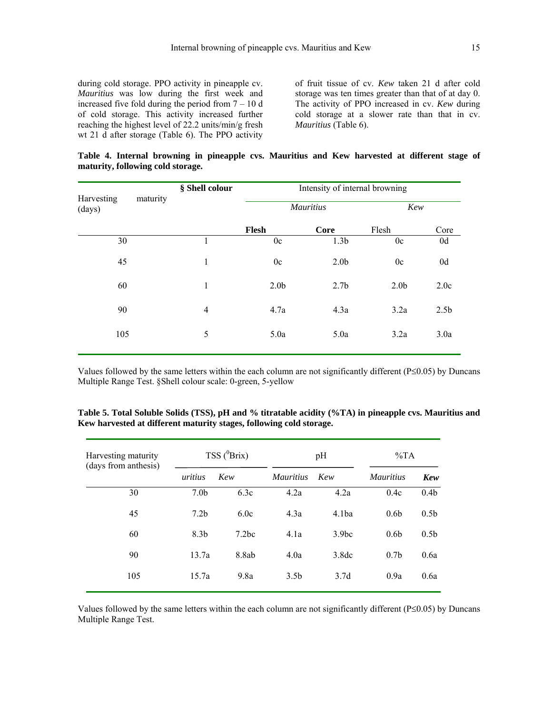during cold storage. PPO activity in pineapple cv. *Mauritius* was low during the first week and increased five fold during the period from  $7 - 10$  d of cold storage. This activity increased further reaching the highest level of 22.2 units/min/g fresh wt 21 d after storage (Table 6). The PPO activity of fruit tissue of cv. *Kew* taken 21 d after cold storage was ten times greater than that of at day 0. The activity of PPO increased in cv. *Kew* during cold storage at a slower rate than that in cv. *Mauritius* (Table 6).

**Table 4. Internal browning in pineapple cvs. Mauritius and Kew harvested at different stage of maturity, following cold storage.** 

|                      |          | § Shell colour | Intensity of internal browning |                  |                  |                  |  |
|----------------------|----------|----------------|--------------------------------|------------------|------------------|------------------|--|
| Harvesting<br>(days) | maturity |                |                                | <b>Mauritius</b> |                  | Kew              |  |
|                      |          |                | Flesh                          | Core             | Flesh            | Core             |  |
| 30                   |          | 1              | 0c                             | 1.3 <sub>b</sub> | 0c               | 0d               |  |
| 45                   |          | 1              | 0c                             | 2.0 <sub>b</sub> | 0c               | 0d               |  |
| 60                   |          | 1              | 2.0 <sub>b</sub>               | 2.7 <sub>b</sub> | 2.0 <sub>b</sub> | 2.0c             |  |
| 90                   |          | $\overline{4}$ | 4.7a                           | 4.3a             | 3.2a             | 2.5 <sub>b</sub> |  |
| 105                  |          | 5              | 5.0a                           | 5.0a             | 3.2a             | 3.0a             |  |
|                      |          |                |                                |                  |                  |                  |  |

Values followed by the same letters within the each column are not significantly different (P≤0.05) by Duncans Multiple Range Test. §Shell colour scale: 0-green, 5-yellow

| Harvesting maturity  | TSS $(^0$ Brix)  |                   |                  | pH                | $\%TA$           |                  |
|----------------------|------------------|-------------------|------------------|-------------------|------------------|------------------|
| (days from anthesis) | uritius          | Kew               | <i>Mauritius</i> | Kew               | <i>Mauritius</i> | Kew              |
| 30                   | 7.0 <sub>b</sub> | 6.3c              | 4.2a             | 4.2a              | 0.4c             | 0.4 <sub>b</sub> |
| 45                   | 7.2 <sub>b</sub> | 6.0c              | 4.3a             | 4.1ba             | 0.6 <sub>b</sub> | 0.5 <sub>b</sub> |
| 60                   | 8.3 <sub>b</sub> | 7.2 <sub>bc</sub> | 4.1a             | 3.9 <sub>bc</sub> | 0.6 <sub>b</sub> | 0.5 <sub>b</sub> |
| 90                   | 13.7a            | 8.8ab             | 4.0a             | 3.8dc             | 0.7 <sub>b</sub> | 0.6a             |
| 105                  | 15.7a            | 9.8a              | 3.5 <sub>b</sub> | 3.7d              | 0.9a             | 0.6a             |
|                      |                  |                   |                  |                   |                  |                  |

**Table 5. Total Soluble Solids (TSS), pH and % titratable acidity (%TA) in pineapple cvs. Mauritius and Kew harvested at different maturity stages, following cold storage.** 

Values followed by the same letters within the each column are not significantly different (P≤0.05) by Duncans Multiple Range Test.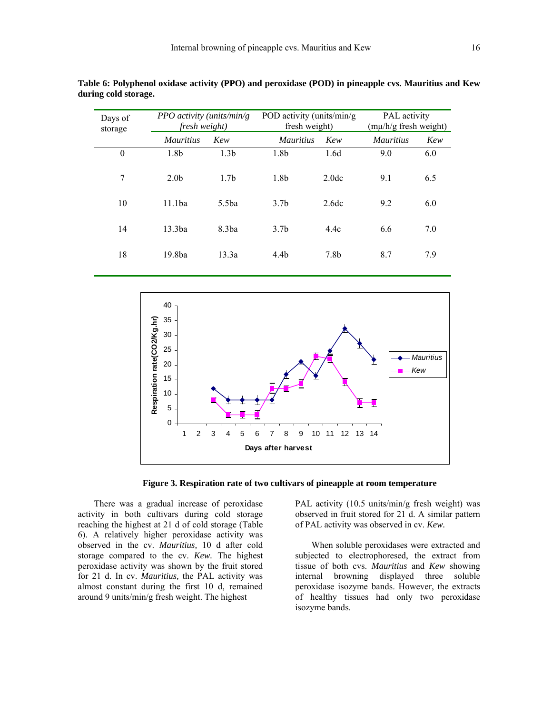| Days of<br>storage | PPO activity (units/min/g)<br>fresh weight) |                  | POD activity (units/min/g)<br>fresh weight) |                   | <b>PAL</b> activity<br>(mµ/h/g fresh weight) |     |
|--------------------|---------------------------------------------|------------------|---------------------------------------------|-------------------|----------------------------------------------|-----|
|                    | <i>Mauritius</i>                            | Kew              | <i>Mauritius</i>                            | Kew               | <i>Mauritius</i>                             | Kew |
| $\theta$           | 1.8b                                        | 1.3 <sub>b</sub> | 1.8b                                        | 1.6d              | 9.0                                          | 6.0 |
| 7                  | 2.0 <sub>b</sub>                            | 1.7 <sub>b</sub> | 1.8b                                        | 2.0 <sub>dc</sub> | 9.1                                          | 6.5 |
| 10                 | 11.1ba                                      | 5.5ba            | 3.7 <sub>b</sub>                            | 2.6dc             | 9.2                                          | 6.0 |
| 14                 | 13.3ba                                      | 8.3ba            | 3.7 <sub>b</sub>                            | 4.4c              | 6.6                                          | 7.0 |
| 18                 | 19.8ba                                      | 13.3a            | 4.4 <sub>b</sub>                            | 7.8b              | 8.7                                          | 7.9 |

**Table 6: Polyphenol oxidase activity (PPO) and peroxidase (POD) in pineapple cvs. Mauritius and Kew during cold storage.** 



**Figure 3. Respiration rate of two cultivars of pineapple at room temperature** 

There was a gradual increase of peroxidase activity in both cultivars during cold storage reaching the highest at 21 d of cold storage (Table 6). A relatively higher peroxidase activity was observed in the cv. *Mauritius,* 10 d after cold storage compared to the cv. *Kew.* The highest peroxidase activity was shown by the fruit stored for 21 d. In cv. *Mauritius,* the PAL activity was almost constant during the first 10 d, remained around 9 units/min/g fresh weight. The highest

PAL activity (10.5 units/min/g fresh weight) was observed in fruit stored for 21 d. A similar pattern of PAL activity was observed in cv. *Kew.* 

When soluble peroxidases were extracted and subjected to electrophoresed, the extract from tissue of both cvs. *Mauritius* and *Kew* showing internal browning displayed three soluble peroxidase isozyme bands. However, the extracts of healthy tissues had only two peroxidase isozyme bands.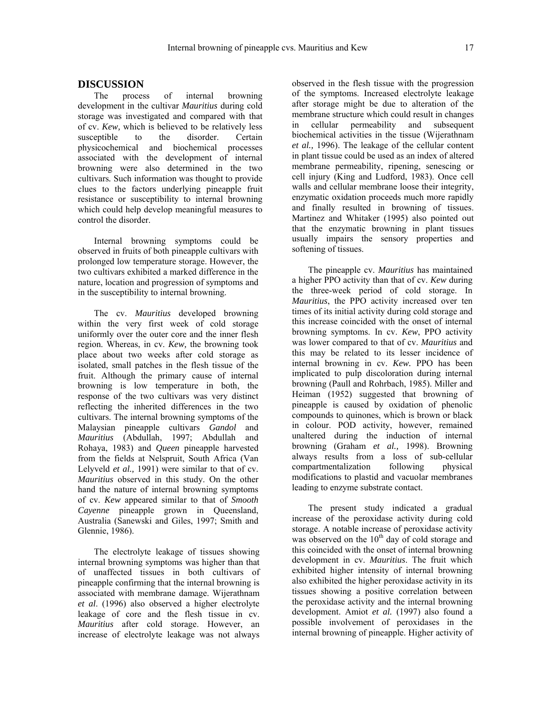# **DISCUSSION**

The process of internal browning development in the cultivar *Mauritius* during cold storage was investigated and compared with that of cv. *Kew,* which is believed to be relatively less susceptible to the disorder. Certain physicochemical and biochemical processes associated with the development of internal browning were also determined in the two cultivars*.* Such information was thought to provide clues to the factors underlying pineapple fruit resistance or susceptibility to internal browning which could help develop meaningful measures to control the disorder.

Internal browning symptoms could be observed in fruits of both pineapple cultivars with prolonged low temperature storage. However, the two cultivars exhibited a marked difference in the nature, location and progression of symptoms and in the susceptibility to internal browning.

The cv. *Mauritius* developed browning within the very first week of cold storage uniformly over the outer core and the inner flesh region. Whereas, in cv. *Kew,* the browning took place about two weeks after cold storage as isolated, small patches in the flesh tissue of the fruit. Although the primary cause of internal browning is low temperature in both, the response of the two cultivars was very distinct reflecting the inherited differences in the two cultivars. The internal browning symptoms of the Malaysian pineapple cultivars *Gandol* and *Mauritius* (Abdullah, 1997; Abdullah and Rohaya, 1983) and *Queen* pineapple harvested from the fields at Nelspruit, South Africa (Van Lelyveld *et al.,* 1991) were similar to that of cv. *Mauritius* observed in this study. On the other hand the nature of internal browning symptoms of cv. *Kew* appeared similar to that of *Smooth Cayenne* pineapple grown in Queensland, Australia (Sanewski and Giles, 1997; Smith and Glennie, 1986).

The electrolyte leakage of tissues showing internal browning symptoms was higher than that of unaffected tissues in both cultivars of pineapple confirming that the internal browning is associated with membrane damage. Wijerathnam *et al*. (1996) also observed a higher electrolyte leakage of core and the flesh tissue in cv. *Mauritius* after cold storage. However, an increase of electrolyte leakage was not always

observed in the flesh tissue with the progression of the symptoms. Increased electrolyte leakage after storage might be due to alteration of the membrane structure which could result in changes in cellular permeability and subsequent biochemical activities in the tissue (Wijerathnam *et al.,* 1996). The leakage of the cellular content in plant tissue could be used as an index of altered membrane permeability, ripening, senescing or cell injury (King and Ludford, 1983). Once cell walls and cellular membrane loose their integrity, enzymatic oxidation proceeds much more rapidly and finally resulted in browning of tissues. Martinez and Whitaker (1995) also pointed out that the enzymatic browning in plant tissues usually impairs the sensory properties and softening of tissues.

The pineapple cv. *Mauritius* has maintained a higher PPO activity than that of cv. *Kew* during the three-week period of cold storage. In *Mauritius*, the PPO activity increased over ten times of its initial activity during cold storage and this increase coincided with the onset of internal browning symptoms. In cv. *Kew*, PPO activity was lower compared to that of cv. *Mauritius* and this may be related to its lesser incidence of internal browning in cv. *Kew.* PPO has been implicated to pulp discoloration during internal browning (Paull and Rohrbach, 1985). Miller and Heiman (1952) suggested that browning of pineapple is caused by oxidation of phenolic compounds to quinones, which is brown or black in colour. POD activity, however, remained unaltered during the induction of internal browning (Graham *et al.,* 1998). Browning always results from a loss of sub-cellular compartmentalization following physical modifications to plastid and vacuolar membranes leading to enzyme substrate contact.

The present study indicated a gradual increase of the peroxidase activity during cold storage. A notable increase of peroxidase activity was observed on the  $10<sup>th</sup>$  day of cold storage and this coincided with the onset of internal browning development in cv. *Mauritius*. The fruit which exhibited higher intensity of internal browning also exhibited the higher peroxidase activity in its tissues showing a positive correlation between the peroxidase activity and the internal browning development. Amiot *et al.* (1997) also found a possible involvement of peroxidases in the internal browning of pineapple. Higher activity of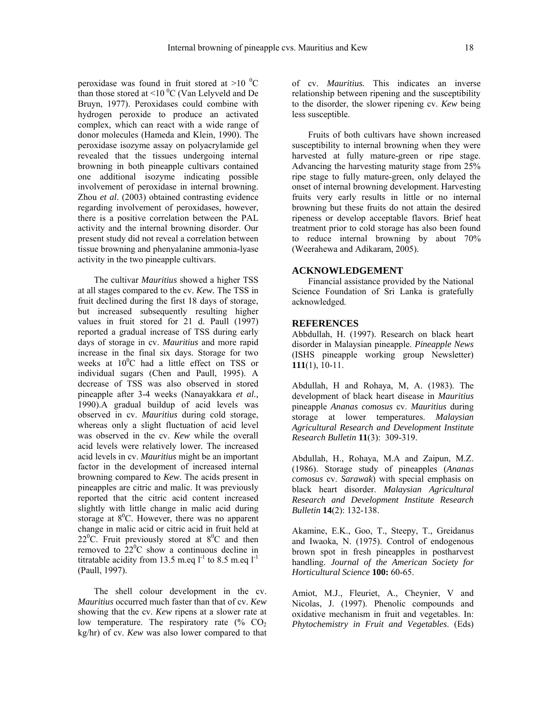peroxidase was found in fruit stored at  $>10^{-0}$ C than those stored at  $\leq 10$  °C (Van Lelyveld and De Bruyn, 1977). Peroxidases could combine with hydrogen peroxide to produce an activated complex, which can react with a wide range of donor molecules (Hameda and Klein, 1990). The peroxidase isozyme assay on polyacrylamide gel revealed that the tissues undergoing internal browning in both pineapple cultivars contained one additional isozyme indicating possible involvement of peroxidase in internal browning. Zhou *et al*. (2003) obtained contrasting evidence regarding involvement of peroxidases, however, there is a positive correlation between the PAL activity and the internal browning disorder. Our present study did not reveal a correlation between tissue browning and phenyalanine ammonia-lyase activity in the two pineapple cultivars.

The cultivar *Mauritius* showed a higher TSS at all stages compared to the cv. *Kew.* The TSS in fruit declined during the first 18 days of storage, but increased subsequently resulting higher values in fruit stored for 21 d. Paull (1997) reported a gradual increase of TSS during early days of storage in cv. *Mauritius* and more rapid increase in the final six days. Storage for two weeks at  $10^0$ C had a little effect on TSS or individual sugars (Chen and Paull, 1995). A decrease of TSS was also observed in stored pineapple after 3-4 weeks (Nanayakkara *et al.,* 1990).A gradual buildup of acid levels was observed in cv. *Mauritius* during cold storage, whereas only a slight fluctuation of acid level was observed in the cv. *Kew* while the overall acid levels were relatively lower*.* The increased acid levels in cv. *Mauritius* might be an important factor in the development of increased internal browning compared to *Kew*. The acids present in pineapples are citric and malic. It was previously reported that the citric acid content increased slightly with little change in malic acid during storage at  $8^0$ C. However, there was no apparent change in malic acid or citric acid in fruit held at  $22^{\circ}$ C. Fruit previously stored at  $8^{\circ}$ C and then removed to  $22^{\circ}$ C show a continuous decline in titratable acidity from 13.5 m.eq  $l^{-1}$  to 8.5 m.eq  $l^{-1}$ (Paull, 1997).

The shell colour development in the cv. *Mauritius* occurred much faster than that of cv. *Kew* showing that the cv. *Kew* ripens at a slower rate at low temperature. The respiratory rate  $(\%$  CO<sub>2</sub> kg/hr) of cv. *Kew* was also lower compared to that of cv. *Mauritius.* This indicates an inverse relationship between ripening and the susceptibility to the disorder, the slower ripening cv. *Kew* being less susceptible.

Fruits of both cultivars have shown increased susceptibility to internal browning when they were harvested at fully mature-green or ripe stage. Advancing the harvesting maturity stage from 25% ripe stage to fully mature-green, only delayed the onset of internal browning development. Harvesting fruits very early results in little or no internal browning but these fruits do not attain the desired ripeness or develop acceptable flavors. Brief heat treatment prior to cold storage has also been found to reduce internal browning by about 70% (Weerahewa and Adikaram, 2005).

# **ACKNOWLEDGEMENT**

Financial assistance provided by the National Science Foundation of Sri Lanka is gratefully acknowledged.

#### **REFERENCES**

Abbdullah, H. (1997). Research on black heart disorder in Malaysian pineapple. *Pineapple News* (ISHS pineapple working group Newsletter) **111**(1), 10-11.

Abdullah, H and Rohaya, M, A. (1983). The development of black heart disease in *Mauritius* pineapple *Ananas comosus* cv. *Mauritius* during storage at lower temperatures. *Malaysian Agricultural Research and Development Institute Research Bulletin* **11**(3): 309-319.

Abdullah, H., Rohaya, M.A and Zaipun, M.Z. (1986). Storage study of pineapples (*Ananas comosus* cv. *Sarawak*) with special emphasis on black heart disorder. *Malaysian Agricultural Research and Development Institute Research Bulletin* **14**(2): 132-138.

Akamine, E.K., Goo, T., Steepy, T., Greidanus and Iwaoka, N. (1975). Control of endogenous brown spot in fresh pineapples in postharvest handling. *Journal of the American Society for Horticultural Science* **100:** 60-65.

Amiot, M.J., Fleuriet, A., Cheynier, V and Nicolas, J. (1997). Phenolic compounds and oxidative mechanism in fruit and vegetables. In: *Phytochemistry in Fruit and Vegetables*. (Eds)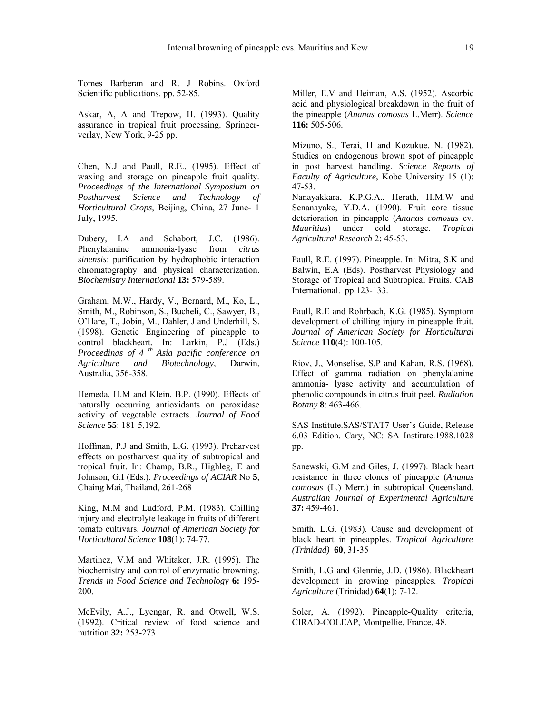Tomes Barberan and R. J Robins. Oxford Scientific publications. pp. 52-85.

Askar, A, A and Trepow, H. (1993). Quality assurance in tropical fruit processing. Springerverlay, New York, 9-25 pp.

Chen, N.J and Paull, R.E., (1995). Effect of waxing and storage on pineapple fruit quality. *Proceedings of the International Symposium on Postharvest Science and Technology of Horticultural Crops*, Beijing, China, 27 June- 1 July, 1995.

Dubery, I.A and Schabort, J.C. (1986). Phenylalanine ammonia-lyase from *citrus sinensis*: purification by hydrophobic interaction chromatography and physical characterization. *Biochemistry International* **13:** 579-589.

Graham, M.W., Hardy, V., Bernard, M., Ko, L., Smith, M., Robinson, S., Bucheli, C., Sawyer, B., O'Hare, T., Jobin, M., Dahler, J and Underhill, S. (1998). Genetic Engineering of pineapple to control blackheart. In: Larkin, P.J (Eds.) *Proceedings of 4 th Asia pacific conference on Agriculture and Biotechnology,* Darwin, Australia, 356-358.

Hemeda, H.M and Klein, B.P. (1990). Effects of naturally occurring antioxidants on peroxidase activity of vegetable extracts. *Journal of Food Science* **55**: 181-5,192.

Hoffman, P.J and Smith, L.G. (1993). Preharvest effects on postharvest quality of subtropical and tropical fruit. In: Champ, B.R., Highleg, E and Johnson, G.I (Eds.). *Proceedings of ACIAR* No **5**, Chaing Mai, Thailand, 261-268

King, M.M and Ludford, P.M. (1983). Chilling injury and electrolyte leakage in fruits of different tomato cultivars. *Journal of American Society for Horticultural Science* **108**(1): 74-77.

Martinez, V.M and Whitaker, J.R. (1995). The biochemistry and control of enzymatic browning. *Trends in Food Science and Technology* **6:** 195- 200.

McEvily, A.J., Lyengar, R. and Otwell, W.S. (1992). Critical review of food science and nutrition **32:** 253-273

Miller, E.V and Heiman, A.S. (1952). Ascorbic acid and physiological breakdown in the fruit of the pineapple (*Ananas comosus* L.Merr). *Science*  **116:** 505-506.

Mizuno, S., Terai, H and Kozukue, N. (1982). Studies on endogenous brown spot of pineapple in post harvest handling. *Science Reports of Faculty of Agriculture*, Kobe University 15 (1): 47-53.

Nanayakkara, K.P.G.A., Herath, H.M.W and Senanayake, Y.D.A. (1990). Fruit core tissue deterioration in pineapple (*Ananas comosus* cv. *Mauritius*) under cold storage. *Tropical Agricultural Research* 2**:** 45-53.

Paull, R.E. (1997). Pineapple. In: Mitra, S.K and Balwin, E.A (Eds). Postharvest Physiology and Storage of Tropical and Subtropical Fruits. CAB International. pp.123-133.

Paull, R.E and Rohrbach, K.G. (1985). Symptom development of chilling injury in pineapple fruit. *Journal of American Society for Horticultural Science* **110**(4): 100-105.

Riov, J., Monselise, S.P and Kahan, R.S. (1968). Effect of gamma radiation on phenylalanine ammonia- lyase activity and accumulation of phenolic compounds in citrus fruit peel. *Radiation Botany* **8**: 463-466.

SAS Institute.SAS/STAT7 User's Guide, Release 6.03 Edition. Cary, NC: SA Institute.1988.1028 pp.

Sanewski, G.M and Giles, J. (1997). Black heart resistance in three clones of pineapple (*Ananas comosus* (L.) Merr.) in subtropical Queensland. *Australian Journal of Experimental Agriculture* **37:** 459-461.

Smith, L.G. (1983). Cause and development of black heart in pineapples. *Tropical Agriculture (Trinidad)* **60**, 31-35

Smith, L.G and Glennie, J.D. (1986). Blackheart development in growing pineapples. *Tropical Agriculture* (Trinidad) **64**(1): 7-12.

Soler, A. (1992). Pineapple-Ouality criteria, CIRAD-COLEAP, Montpellie, France, 48.